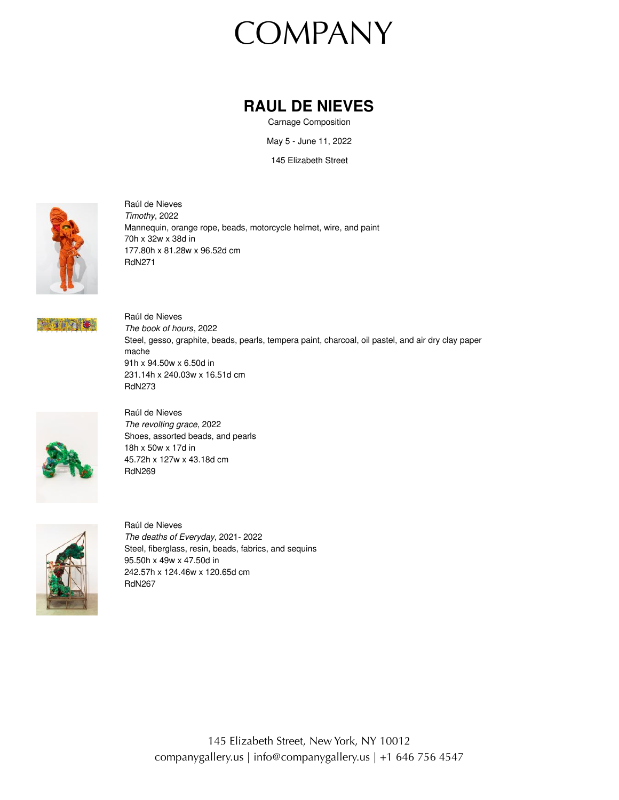## COMPANY

## **RAÚL DE NIEVES**

Carnage Composition

May 5 - June 11, 2022

145 Elizabeth Street



Raúl de Nieves *Timothy*, 2022 Mannequin, orange rope, beads, motorcycle helmet, wire, and paint 70h x 32w x 38d in 177.80h x 81.28w x 96.52d cm RdN271



Raúl de Nieves *The book of hours*, 2022 Steel, gesso, graphite, beads, pearls, tempera paint, charcoal, oil pastel, and air dry clay paper mache 91h x 94.50w x 6.50d in 231.14h x 240.03w x 16.51d cm RdN273



Raúl de Nieves *The revolting grace*, 2022 Shoes, assorted beads, and pearls 18h x 50w x 17d in 45.72h x 127w x 43.18d cm RdN269



Raúl de Nieves *The deaths of Everyday*, 2021- 2022 Steel, fiberglass, resin, beads, fabrics, and sequins 95.50h x 49w x 47.50d in 242.57h x 124.46w x 120.65d cm RdN267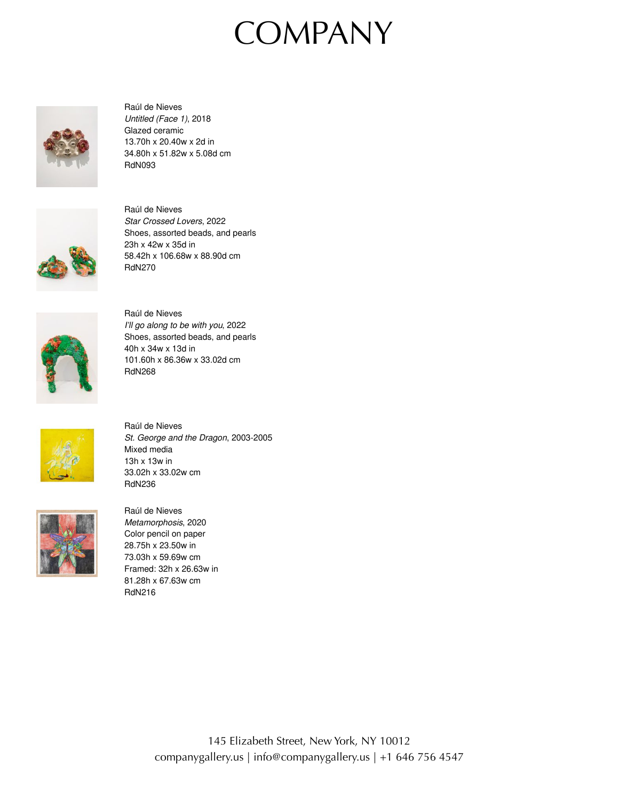## COMPANY



Raúl de Nieves *Untitled (Face 1)*, 2018 Glazed ceramic 13.70h x 20.40w x 2d in 34.80h x 51.82w x 5.08d cm RdN093



Raúl de Nieves *Star Crossed Lovers*, 2022 Shoes, assorted beads, and pearls 23h x 42w x 35d in 58.42h x 106.68w x 88.90d cm RdN270



Raúl de Nieves *I'll go along to be with you*, 2022 Shoes, assorted beads, and pearls 40h x 34w x 13d in 101.60h x 86.36w x 33.02d cm RdN268



Raúl de Nieves *St. George and the Dragon*, 2003-2005 Mixed media 13h x 13w in 33.02h x 33.02w cm RdN236



Raúl de Nieves *Metamorphosis*, 2020 Color pencil on paper 28.75h x 23.50w in 73.03h x 59.69w cm Framed: 32h x 26.63w in 81.28h x 67.63w cm RdN216